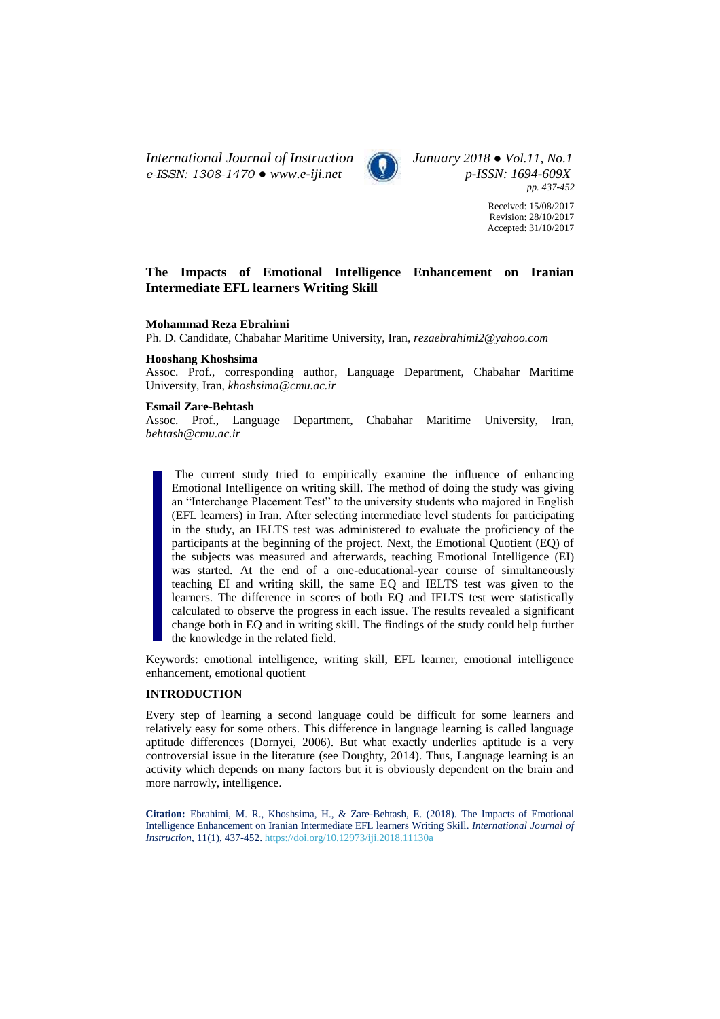*International Journal of Instruction January 2018 ● Vol.11, No.1 e-ISSN: 1308-1470 ● [www.e-iji.net](http://www.e-iji.net/) p-ISSN: 1694-609X*



*pp. 437-452*

Received: 15/08/2017 Revision: 28/10/2017 Accepted: 31/10/2017

# **The Impacts of Emotional Intelligence Enhancement on Iranian Intermediate EFL learners Writing Skill**

#### **Mohammad Reza Ebrahimi**

Ph. D. Candidate, Chabahar Maritime University, Iran, *[rezaebrahimi2@yahoo.com](mailto:rezaebrahimi2@yahoo.com)*

### **Hooshang Khoshsima**

Assoc. Prof., corresponding author, Language Department, Chabahar Maritime University, Iran, *[khoshsima@cmu.ac.ir](mailto:khoshsima@cmu.ac.ir)*

### **Esmail Zare-Behtash**

Assoc. Prof., Language Department, Chabahar Maritime University, Iran, *[behtash@cmu.ac.ir](mailto:behtash@cmu.ac.ir)*

The current study tried to empirically examine the influence of enhancing Emotional Intelligence on writing skill. The method of doing the study was giving an "Interchange Placement Test" to the university students who majored in English (EFL learners) in Iran. After selecting intermediate level students for participating in the study, an IELTS test was administered to evaluate the proficiency of the participants at the beginning of the project. Next, the Emotional Quotient (EQ) of the subjects was measured and afterwards, teaching Emotional Intelligence (EI) was started. At the end of a one-educational-year course of simultaneously teaching EI and writing skill, the same EQ and IELTS test was given to the learners. The difference in scores of both EQ and IELTS test were statistically calculated to observe the progress in each issue. The results revealed a significant change both in EQ and in writing skill. The findings of the study could help further the knowledge in the related field.

Keywords: emotional intelligence, writing skill, EFL learner, emotional intelligence enhancement, emotional quotient

### **INTRODUCTION**

Every step of learning a second language could be difficult for some learners and relatively easy for some others. This difference in language learning is called language aptitude differences (Dornyei, 2006). But what exactly underlies aptitude is a very controversial issue in the literature (see Doughty, 2014). Thus, Language learning is an activity which depends on many factors but it is obviously dependent on the brain and more narrowly, intelligence.

**Citation:** Ebrahimi, M. R., Khoshsima, H., & Zare-Behtash, E. (2018). The Impacts of Emotional Intelligence Enhancement on Iranian Intermediate EFL learners Writing Skill. *International Journal of Instruction*, 11(1), 437-452. <https://doi.org/10.12973/iji.2018.11130a>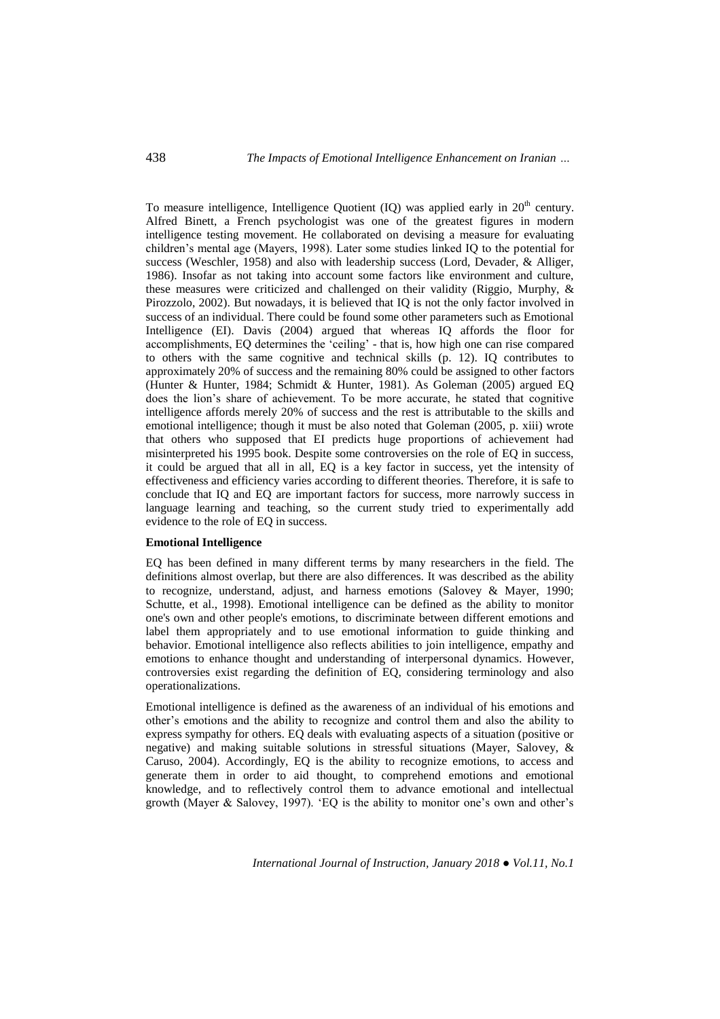To measure intelligence, Intelligence Ouotient (IO) was applied early in  $20<sup>th</sup>$  century. Alfred Binett, a French psychologist was one of the greatest figures in modern intelligence testing movement. He collaborated on devising a measure for evaluating children's mental age (Mayers, 1998). Later some studies linked IQ to the potential for success (Weschler, 1958) and also with leadership success (Lord, Devader, & Alliger, 1986). Insofar as not taking into account some factors like environment and culture, these measures were criticized and challenged on their validity (Riggio, Murphy, & Pirozzolo, 2002). But nowadays, it is believed that IQ is not the only factor involved in success of an individual. There could be found some other parameters such as Emotional Intelligence (EI). Davis (2004) argued that whereas IQ affords the floor for accomplishments, EQ determines the 'ceiling' - that is, how high one can rise compared to others with the same cognitive and technical skills (p. 12). IQ contributes to approximately 20% of success and the remaining 80% could be assigned to other factors (Hunter & Hunter, 1984; Schmidt & Hunter, 1981). As Goleman (2005) argued EQ does the lion's share of achievement. To be more accurate, he stated that cognitive intelligence affords merely 20% of success and the rest is attributable to the skills and emotional intelligence; though it must be also noted that Goleman (2005, p. xiii) wrote that others who supposed that EI predicts huge proportions of achievement had misinterpreted his 1995 book. Despite some controversies on the role of EQ in success, it could be argued that all in all, EQ is a key factor in success, yet the intensity of effectiveness and efficiency varies according to different theories. Therefore, it is safe to conclude that IQ and EQ are important factors for success, more narrowly success in language learning and teaching, so the current study tried to experimentally add evidence to the role of EQ in success.

### **Emotional Intelligence**

EQ has been defined in many different terms by many researchers in the field. The definitions almost overlap, but there are also differences. It was described as the ability to recognize, understand, adjust, and harness emotions (Salovey & Mayer, 1990; Schutte, et al., 1998). Emotional intelligence can be defined as the ability to monitor one's own and other people's emotions, to discriminate between different emotions and label them appropriately and to use emotional information to guide thinking and behavior. Emotional intelligence also reflects abilities to join intelligence, empathy and emotions to enhance thought and understanding of interpersonal dynamics. However, controversies exist regarding the definition of EQ, considering terminology and also operationalizations.

Emotional intelligence is defined as the awareness of an individual of his emotions and other's emotions and the ability to recognize and control them and also the ability to express sympathy for others. EQ deals with evaluating aspects of a situation (positive or negative) and making suitable solutions in stressful situations (Mayer, Salovey, & Caruso, 2004). Accordingly, EQ is the ability to recognize emotions, to access and generate them in order to aid thought, to comprehend emotions and emotional knowledge, and to reflectively control them to advance emotional and intellectual growth (Mayer & Salovey, 1997). 'EQ is the ability to monitor one's own and other's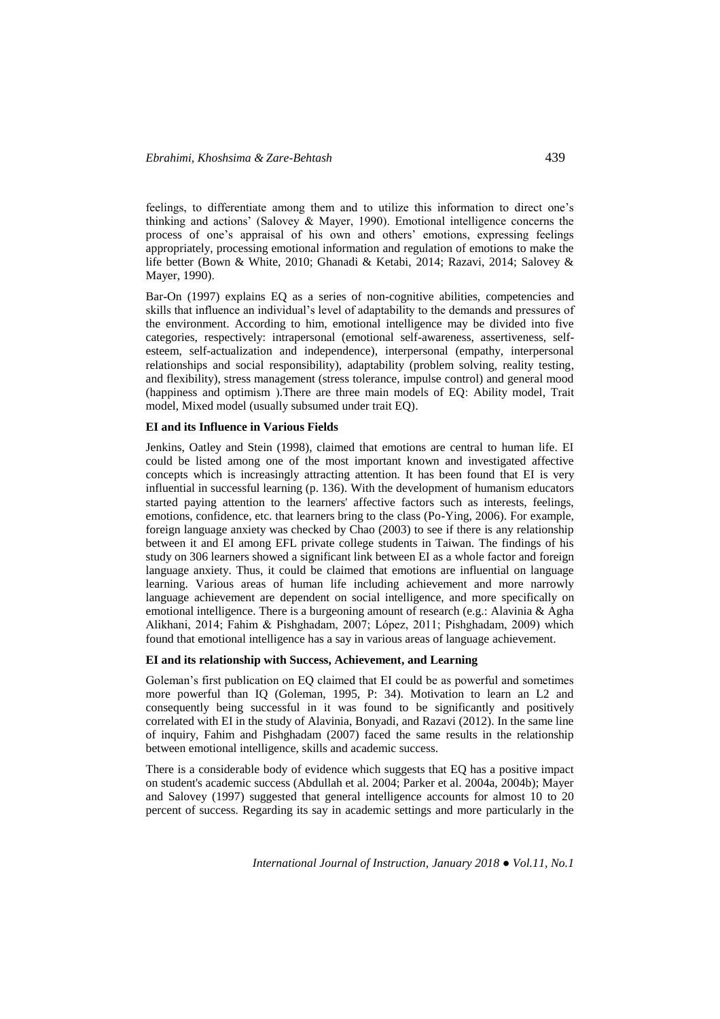feelings, to differentiate among them and to utilize this information to direct one's thinking and actions' (Salovey & Mayer, 1990). Emotional intelligence concerns the process of one's appraisal of his own and others' emotions, expressing feelings appropriately, processing emotional information and regulation of emotions to make the life better (Bown & White, 2010; Ghanadi & Ketabi, 2014; Razavi, 2014; Salovey & Mayer, 1990).

Bar-On (1997) explains EQ as a series of non-cognitive abilities, competencies and skills that influence an individual's level of adaptability to the demands and pressures of the environment. According to him, emotional intelligence may be divided into five categories, respectively: intrapersonal (emotional self-awareness, assertiveness, selfesteem, self-actualization and independence), interpersonal (empathy, interpersonal relationships and social responsibility), adaptability (problem solving, reality testing, and flexibility), stress management (stress tolerance, impulse control) and general mood (happiness and optimism ). There are three main models of EQ: Ability model, Trait model, Mixed model (usually subsumed under trait EQ).

### **EI and its Influence in Various Fields**

Jenkins, Oatley and Stein (1998), claimed that emotions are central to human life. EI could be listed among one of the most important known and investigated affective concepts which is increasingly attracting attention. It has been found that EI is very influential in successful learning (p. 136). With the development of humanism educators started paying attention to the learners' affective factors such as interests, feelings, emotions, confidence, etc. that learners bring to the class (Po-Ying, 2006). For example, foreign language anxiety was checked by Chao (2003) to see if there is any relationship between it and EI among EFL private college students in Taiwan. The findings of his study on 306 learners showed a significant link between EI as a whole factor and foreign language anxiety. Thus, it could be claimed that emotions are influential on language learning. Various areas of human life including achievement and more narrowly language achievement are dependent on social intelligence, and more specifically on emotional intelligence. There is a burgeoning amount of research (e.g.: Alavinia & Agha Alikhani, 2014; Fahim & Pishghadam, 2007; López, 2011; Pishghadam, 2009) which found that emotional intelligence has a say in various areas of language achievement.

## **EI and its relationship with Success, Achievement, and Learning**

Goleman's first publication on EQ claimed that EI could be as powerful and sometimes more powerful than IQ (Goleman, 1995, P: 34). Motivation to learn an L2 and consequently being successful in it was found to be significantly and positively correlated with EI in the study of Alavinia, Bonyadi, and Razavi (2012). In the same line of inquiry, Fahim and Pishghadam (2007) faced the same results in the relationship between emotional intelligence, skills and academic success.

There is a considerable body of evidence which suggests that EQ has a positive impact on student's academic success (Abdullah et al. 2004; Parker et al. 2004a, 2004b); Mayer and Salovey (1997) suggested that general intelligence accounts for almost 10 to 20 percent of success. Regarding its say in academic settings and more particularly in the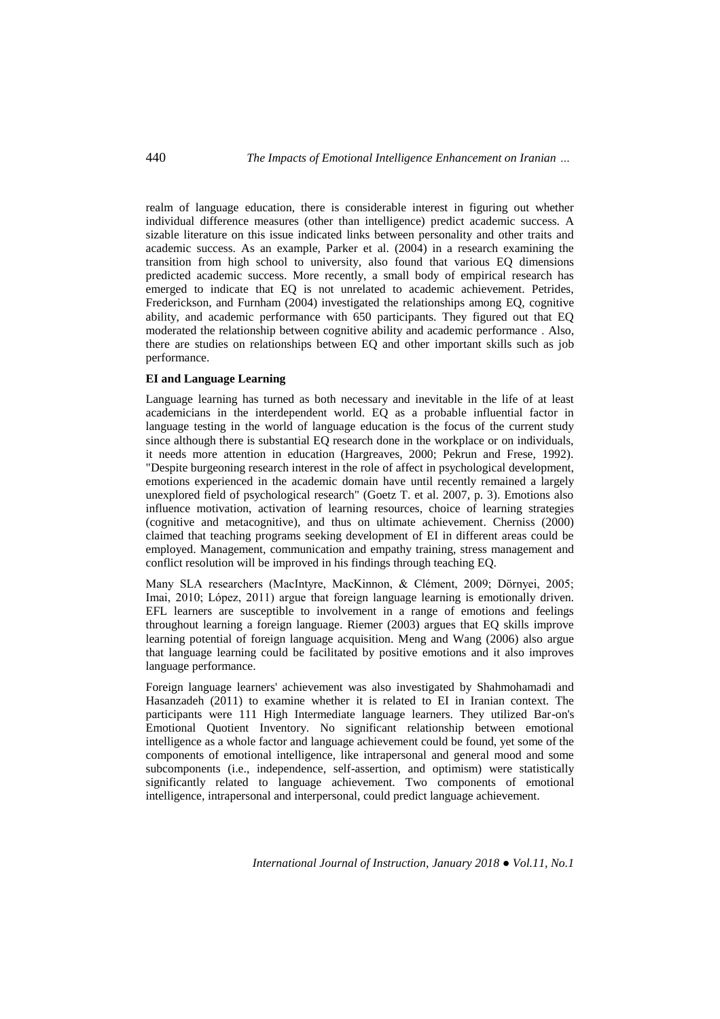realm of language education, there is considerable interest in figuring out whether individual difference measures (other than intelligence) predict academic success. A sizable literature on this issue indicated links between personality and other traits and academic success. As an example, Parker et al. (2004) in a research examining the transition from high school to university, also found that various EQ dimensions predicted academic success. More recently, a small body of empirical research has emerged to indicate that EQ is not unrelated to academic achievement. Petrides, Frederickson, and Furnham (2004) investigated the relationships among EQ, cognitive ability, and academic performance with 650 participants. They figured out that EQ moderated the relationship between cognitive ability and academic performance . Also, there are studies on relationships between EQ and other important skills such as job performance.

### **EI and Language Learning**

Language learning has turned as both necessary and inevitable in the life of at least academicians in the interdependent world. EQ as a probable influential factor in language testing in the world of language education is the focus of the current study since although there is substantial EQ research done in the workplace or on individuals, it needs more attention in education (Hargreaves, 2000; Pekrun and Frese, 1992). "Despite burgeoning research interest in the role of affect in psychological development, emotions experienced in the academic domain have until recently remained a largely unexplored field of psychological research" (Goetz T. et al. 2007, p. 3). Emotions also influence motivation, activation of learning resources, choice of learning strategies (cognitive and metacognitive), and thus on ultimate achievement. Cherniss (2000) claimed that teaching programs seeking development of EI in different areas could be employed. Management, communication and empathy training, stress management and conflict resolution will be improved in his findings through teaching EQ.

Many SLA researchers (MacIntyre, MacKinnon, & Clément, 2009; Dörnyei, 2005; Imai, 2010; López, 2011) argue that foreign language learning is emotionally driven. EFL learners are susceptible to involvement in a range of emotions and feelings throughout learning a foreign language. Riemer (2003) argues that EQ skills improve learning potential of foreign language acquisition. Meng and Wang (2006) also argue that language learning could be facilitated by positive emotions and it also improves language performance.

Foreign language learners' achievement was also investigated by Shahmohamadi and Hasanzadeh (2011) to examine whether it is related to EI in Iranian context. The participants were 111 High Intermediate language learners. They utilized Bar-on's Emotional Quotient Inventory. No significant relationship between emotional intelligence as a whole factor and language achievement could be found, yet some of the components of emotional intelligence, like intrapersonal and general mood and some subcomponents (i.e., independence, self-assertion, and optimism) were statistically significantly related to language achievement. Two components of emotional intelligence, intrapersonal and interpersonal, could predict language achievement.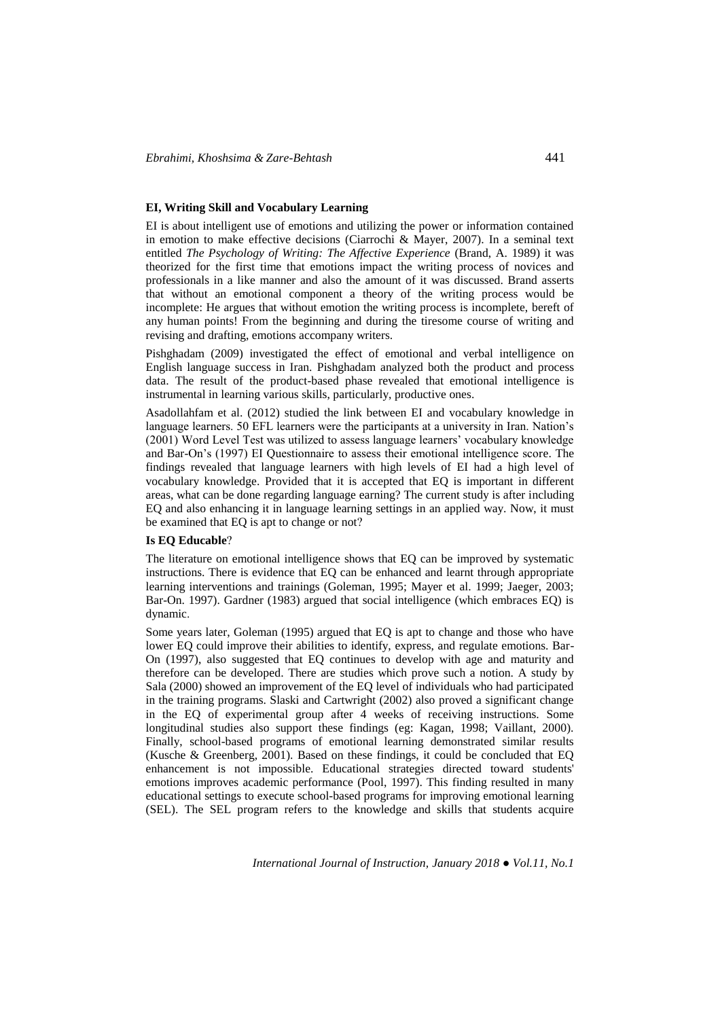### **EI, Writing Skill and Vocabulary Learning**

EI is about intelligent use of emotions and utilizing the power or information contained in emotion to make effective decisions (Ciarrochi & Mayer, 2007). In a seminal text entitled *The Psychology of Writing: The Affective Experience* (Brand, A. 1989) it was theorized for the first time that emotions impact the writing process of novices and professionals in a like manner and also the amount of it was discussed. Brand asserts that without an emotional component a theory of the writing process would be incomplete: He argues that without emotion the writing process is incomplete, bereft of any human points! From the beginning and during the tiresome course of writing and revising and drafting, emotions accompany writers.

Pishghadam (2009) investigated the effect of emotional and verbal intelligence on English language success in Iran. Pishghadam analyzed both the product and process data. The result of the product-based phase revealed that emotional intelligence is instrumental in learning various skills, particularly, productive ones.

Asadollahfam et al. (2012) studied the link between EI and vocabulary knowledge in language learners. 50 EFL learners were the participants at a university in Iran. Nation's (2001) Word Level Test was utilized to assess language learners' vocabulary knowledge and Bar-On's (1997) EI Questionnaire to assess their emotional intelligence score. The findings revealed that language learners with high levels of EI had a high level of vocabulary knowledge. Provided that it is accepted that EQ is important in different areas, what can be done regarding language earning? The current study is after including EQ and also enhancing it in language learning settings in an applied way. Now, it must be examined that EQ is apt to change or not?

### **Is EQ Educable**?

The literature on emotional intelligence shows that EQ can be improved by systematic instructions. There is evidence that EQ can be enhanced and learnt through appropriate learning interventions and trainings (Goleman, 1995; Mayer et al. 1999; Jaeger, 2003; Bar-On. 1997). Gardner (1983) argued that social intelligence (which embraces EQ) is dynamic.

Some years later, Goleman (1995) argued that EQ is apt to change and those who have lower EQ could improve their abilities to identify, express, and regulate emotions. Bar-On (1997), also suggested that EQ continues to develop with age and maturity and therefore can be developed. There are studies which prove such a notion. A study by Sala (2000) showed an improvement of the EQ level of individuals who had participated in the training programs. Slaski and Cartwright (2002) also proved a significant change in the EQ of experimental group after 4 weeks of receiving instructions. Some longitudinal studies also support these findings (eg: Kagan, 1998; Vaillant, 2000). Finally, school-based programs of emotional learning demonstrated similar results (Kusche & Greenberg, 2001). Based on these findings, it could be concluded that EQ enhancement is not impossible. Educational strategies directed toward students' emotions improves academic performance (Pool, 1997). This finding resulted in many educational settings to execute school-based programs for improving emotional learning (SEL). The SEL program refers to the knowledge and skills that students acquire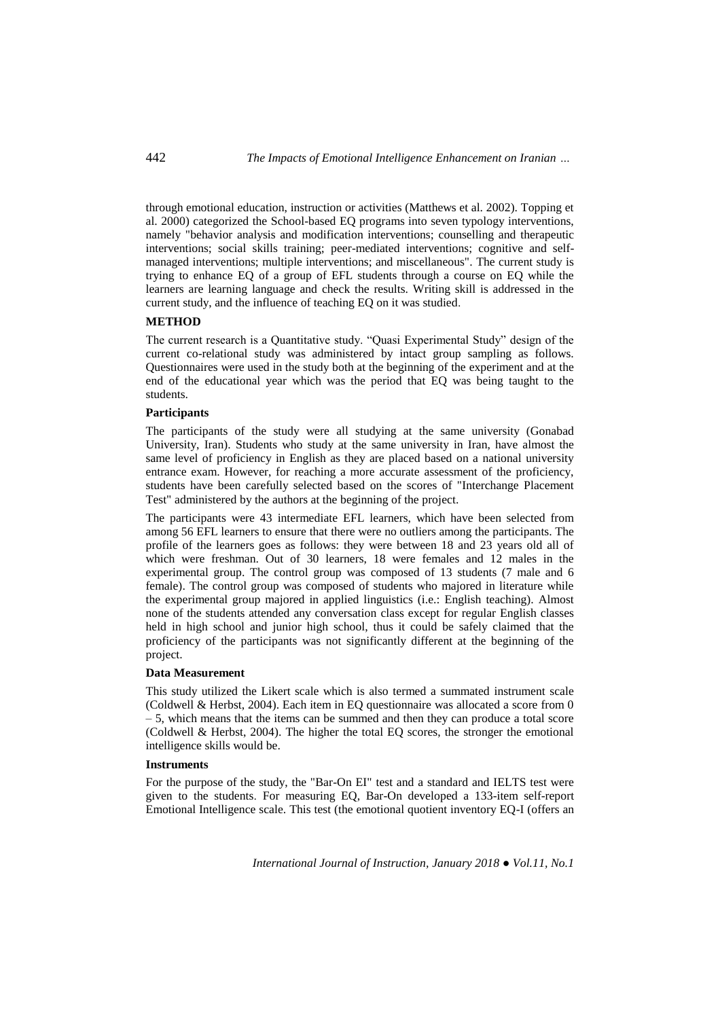through emotional education, instruction or activities (Matthews et al. 2002). Topping et al. 2000) categorized the School-based EQ programs into seven typology interventions, namely "behavior analysis and modification interventions; counselling and therapeutic interventions; social skills training; peer-mediated interventions; cognitive and selfmanaged interventions; multiple interventions; and miscellaneous". The current study is trying to enhance EQ of a group of EFL students through a course on EQ while the learners are learning language and check the results. Writing skill is addressed in the current study, and the influence of teaching EQ on it was studied.

### **METHOD**

The current research is a Quantitative study. "Quasi Experimental Study" design of the current co-relational study was administered by intact group sampling as follows. Questionnaires were used in the study both at the beginning of the experiment and at the end of the educational year which was the period that EQ was being taught to the students.

#### **Participants**

The participants of the study were all studying at the same university (Gonabad University, Iran). Students who study at the same university in Iran, have almost the same level of proficiency in English as they are placed based on a national university entrance exam. However, for reaching a more accurate assessment of the proficiency, students have been carefully selected based on the scores of "Interchange Placement Test" administered by the authors at the beginning of the project.

The participants were 43 intermediate EFL learners, which have been selected from among 56 EFL learners to ensure that there were no outliers among the participants. The profile of the learners goes as follows: they were between 18 and 23 years old all of which were freshman. Out of 30 learners, 18 were females and 12 males in the experimental group. The control group was composed of 13 students (7 male and 6 female). The control group was composed of students who majored in literature while the experimental group majored in applied linguistics (i.e.: English teaching). Almost none of the students attended any conversation class except for regular English classes held in high school and junior high school, thus it could be safely claimed that the proficiency of the participants was not significantly different at the beginning of the project.

### **Data Measurement**

This study utilized the Likert scale which is also termed a summated instrument scale (Coldwell & Herbst, 2004). Each item in EQ questionnaire was allocated a score from 0 – 5, which means that the items can be summed and then they can produce a total score (Coldwell & Herbst, 2004). The higher the total EQ scores, the stronger the emotional intelligence skills would be.

## **Instruments**

For the purpose of the study, the "Bar-On EI" test and a standard and IELTS test were given to the students. For measuring EQ, Bar-On developed a 133-item self-report Emotional Intelligence scale. This test (the emotional quotient inventory EQ-I (offers an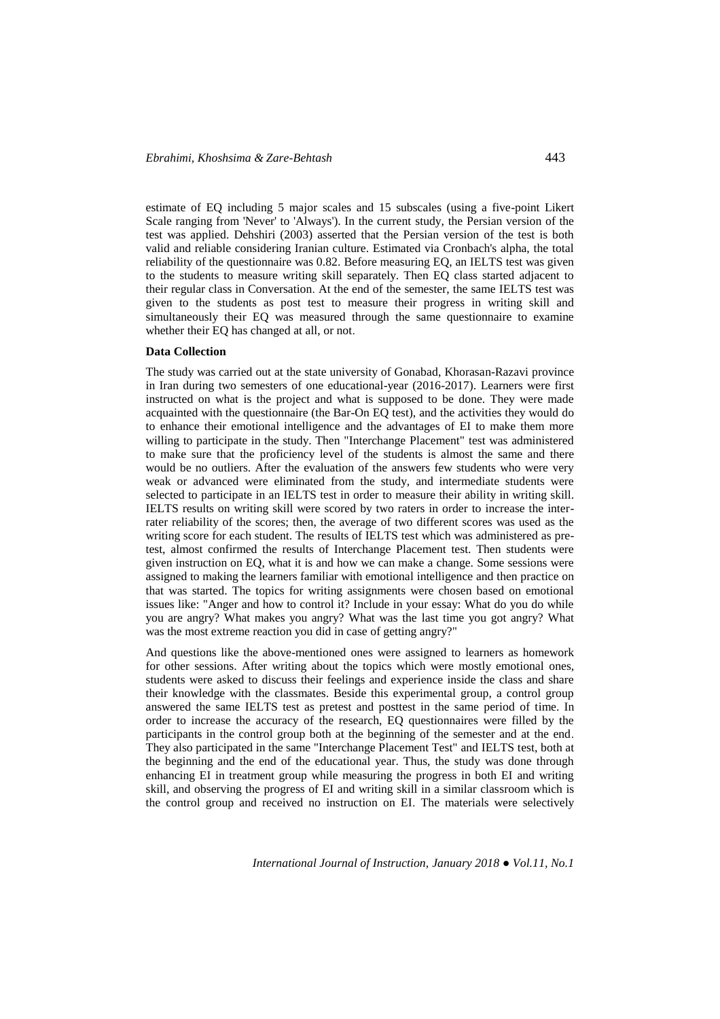estimate of EQ including 5 major scales and 15 subscales (using a five-point Likert Scale ranging from 'Never' to 'Always'). In the current study, the Persian version of the test was applied. Dehshiri (2003) asserted that the Persian version of the test is both valid and reliable considering Iranian culture. Estimated via Cronbach's alpha, the total reliability of the questionnaire was 0.82. Before measuring EQ, an IELTS test was given to the students to measure writing skill separately. Then EQ class started adjacent to their regular class in Conversation. At the end of the semester, the same IELTS test was given to the students as post test to measure their progress in writing skill and simultaneously their EQ was measured through the same questionnaire to examine whether their EQ has changed at all, or not.

### **Data Collection**

The study was carried out at the state university of Gonabad, Khorasan-Razavi province in Iran during two semesters of one educational-year (2016-2017). Learners were first instructed on what is the project and what is supposed to be done. They were made acquainted with the questionnaire (the Bar-On EQ test), and the activities they would do to enhance their emotional intelligence and the advantages of EI to make them more willing to participate in the study. Then "Interchange Placement" test was administered to make sure that the proficiency level of the students is almost the same and there would be no outliers. After the evaluation of the answers few students who were very weak or advanced were eliminated from the study, and intermediate students were selected to participate in an IELTS test in order to measure their ability in writing skill. IELTS results on writing skill were scored by two raters in order to increase the interrater reliability of the scores; then, the average of two different scores was used as the writing score for each student. The results of IELTS test which was administered as pretest, almost confirmed the results of Interchange Placement test. Then students were given instruction on EQ, what it is and how we can make a change. Some sessions were assigned to making the learners familiar with emotional intelligence and then practice on that was started. The topics for writing assignments were chosen based on emotional issues like: "Anger and how to control it? Include in your essay: What do you do while you are angry? What makes you angry? What was the last time you got angry? What was the most extreme reaction you did in case of getting angry?"

And questions like the above-mentioned ones were assigned to learners as homework for other sessions. After writing about the topics which were mostly emotional ones, students were asked to discuss their feelings and experience inside the class and share their knowledge with the classmates. Beside this experimental group, a control group answered the same IELTS test as pretest and posttest in the same period of time. In order to increase the accuracy of the research, EQ questionnaires were filled by the participants in the control group both at the beginning of the semester and at the end. They also participated in the same "Interchange Placement Test" and IELTS test, both at the beginning and the end of the educational year. Thus, the study was done through enhancing EI in treatment group while measuring the progress in both EI and writing skill, and observing the progress of EI and writing skill in a similar classroom which is the control group and received no instruction on EI. The materials were selectively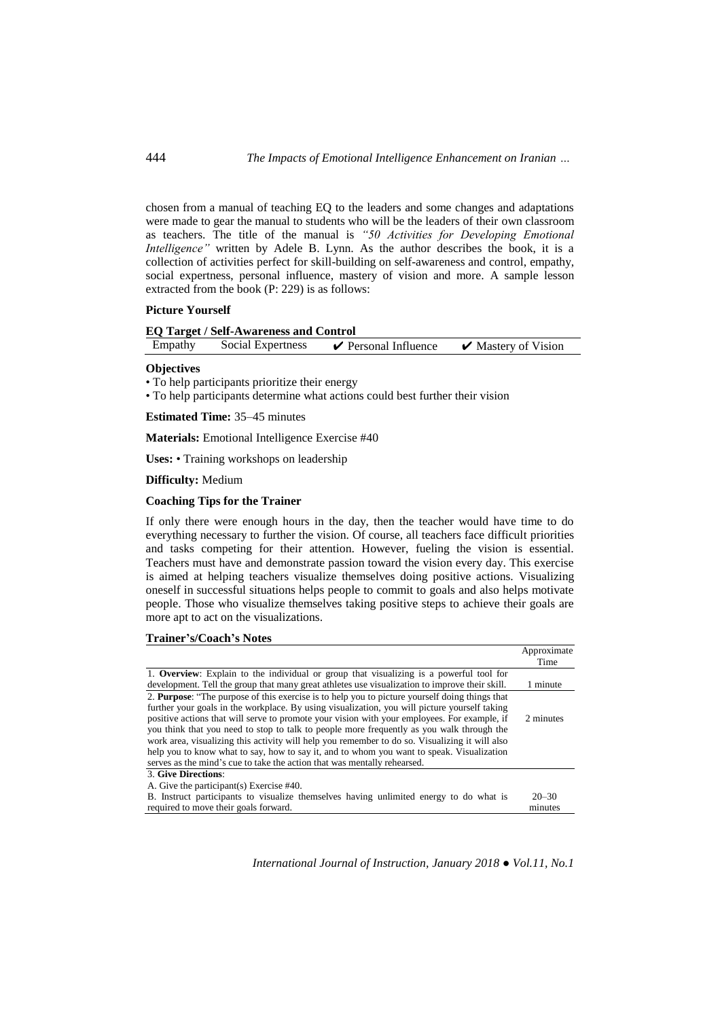# 444 *The Impacts of Emotional Intelligence Enhancement on Iranian …*

chosen from a manual of teaching EQ to the leaders and some changes and adaptations were made to gear the manual to students who will be the leaders of their own classroom as teachers. The title of the manual is *"50 Activities for Developing Emotional Intelligence"* written by Adele B. Lynn. As the author describes the book, it is a collection of activities perfect for skill-building on self-awareness and control, empathy, social expertness, personal influence, mastery of vision and more. A sample lesson extracted from the book (P: 229) is as follows:

### **Picture Yourself**

### **EQ Target / Self-Awareness and Control**

| Empathy | <b>Social Expertness</b> | $\vee$ Personal Influence | $\blacktriangleright$ Mastery of Vision |
|---------|--------------------------|---------------------------|-----------------------------------------|
|         |                          |                           |                                         |

## **Objectives**

• To help participants prioritize their energy

• To help participants determine what actions could best further their vision

**Estimated Time:** 35–45 minutes

**Materials:** Emotional Intelligence Exercise #40

**Uses:** • Training workshops on leadership

**Difficulty:** Medium

#### **Coaching Tips for the Trainer**

If only there were enough hours in the day, then the teacher would have time to do everything necessary to further the vision. Of course, all teachers face difficult priorities and tasks competing for their attention. However, fueling the vision is essential. Teachers must have and demonstrate passion toward the vision every day. This exercise is aimed at helping teachers visualize themselves doing positive actions. Visualizing oneself in successful situations helps people to commit to goals and also helps motivate people. Those who visualize themselves taking positive steps to achieve their goals are more apt to act on the visualizations.

#### **Trainer's/Coach's Notes**

|                                                                                                       | Approximate |
|-------------------------------------------------------------------------------------------------------|-------------|
|                                                                                                       | Time        |
| 1. Overview: Explain to the individual or group that visualizing is a powerful tool for               |             |
| development. Tell the group that many great athletes use visualization to improve their skill.        | 1 minute    |
| 2. <b>Purpose:</b> "The purpose of this exercise is to help you to picture yourself doing things that |             |
| further your goals in the workplace. By using visualization, you will picture yourself taking         |             |
| positive actions that will serve to promote your vision with your employees. For example, if          | 2 minutes   |
| you think that you need to stop to talk to people more frequently as you walk through the             |             |
| work area, visualizing this activity will help you remember to do so. Visualizing it will also        |             |
| help you to know what to say, how to say it, and to whom you want to speak. Visualization             |             |
| serves as the mind's cue to take the action that was mentally rehearsed.                              |             |
| <b>3. Give Directions:</b>                                                                            |             |
| A. Give the participant (s) Exercise #40.                                                             |             |
| B. Instruct participants to visualize themselves having unlimited energy to do what is                | $20 - 30$   |
| required to move their goals forward.                                                                 | minutes     |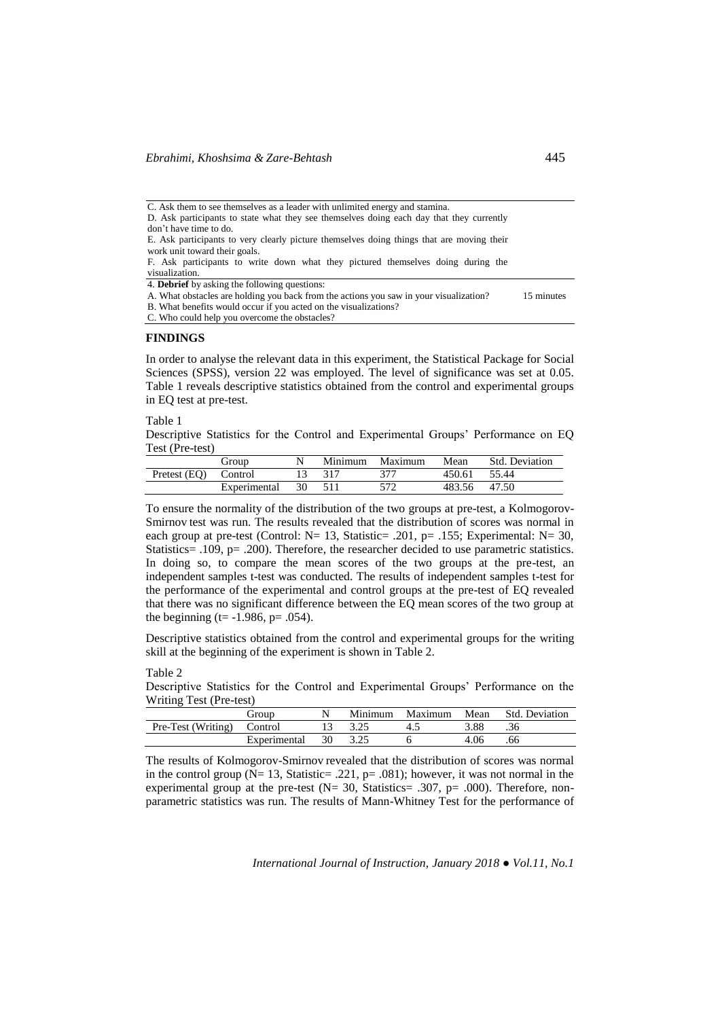| C. Ask them to see themselves as a leader with unlimited energy and stamina.              |            |
|-------------------------------------------------------------------------------------------|------------|
| D. Ask participants to state what they see themselves doing each day that they currently  |            |
| don't have time to do.                                                                    |            |
| E. Ask participants to very clearly picture themselves doing things that are moving their |            |
| work unit toward their goals.                                                             |            |
| F. Ask participants to write down what they pictured themselves doing during the          |            |
| visualization.                                                                            |            |
|                                                                                           |            |
| 4. <b>Debrief</b> by asking the following questions:                                      |            |
| A. What obstacles are holding you back from the actions you saw in your visualization?    | 15 minutes |
| B. What benefits would occur if you acted on the visualizations?                          |            |
| C. Who could help you overcome the obstacles?                                             |            |

#### **FINDINGS**

In order to analyse the relevant data in this experiment, the Statistical Package for Social Sciences (SPSS), version 22 was employed. The level of significance was set at 0.05. Table 1 reveals descriptive statistics obtained from the control and experimental groups in EQ test at pre-test.

#### Table 1

Descriptive Statistics for the Control and Experimental Groups' Performance on EQ Test (Pre-test)

|                      | Group        |      | Minimum | Maximum | Mean         | <b>Std. Deviation</b> |
|----------------------|--------------|------|---------|---------|--------------|-----------------------|
| Pretest (EQ) Control |              |      |         | 377     | 450.61 55.44 |                       |
|                      | Experimental | - 30 | 511     | 572     | 483.56 47.50 |                       |

To ensure the normality of the distribution of the two groups at pre-test, a Kolmogorov-Smirnov test was run. The results revealed that the distribution of scores was normal in each group at pre-test (Control: N= 13, Statistic= .201, p= .155; Experimental: N= 30, Statistics= .109, p= .200). Therefore, the researcher decided to use parametric statistics. In doing so, to compare the mean scores of the two groups at the pre-test, an independent samples t-test was conducted. The results of independent samples t-test for the performance of the experimental and control groups at the pre-test of EQ revealed that there was no significant difference between the EQ mean scores of the two group at the beginning (t=  $-1.986$ , p=  $.054$ ).

Descriptive statistics obtained from the control and experimental groups for the writing skill at the beginning of the experiment is shown in Table 2.

Table 2

Descriptive Statistics for the Control and Experimental Groups' Performance on the Writing Test (Pre-test)

|                            | Group                | Minimum |     |      | Maximum Mean Std. Deviation |
|----------------------------|----------------------|---------|-----|------|-----------------------------|
| Pre-Test (Writing) Control |                      | 13 3.25 | 4.5 | 3.88 |                             |
|                            | Experimental 30 3.25 |         |     | 4.06 | .66                         |

The results of Kolmogorov-Smirnov revealed that the distribution of scores was normal in the control group ( $N= 13$ , Statistic= .221,  $p= .081$ ); however, it was not normal in the experimental group at the pre-test ( $N=$  30, Statistics= .307, p= .000). Therefore, nonparametric statistics was run. The results of Mann-Whitney Test for the performance of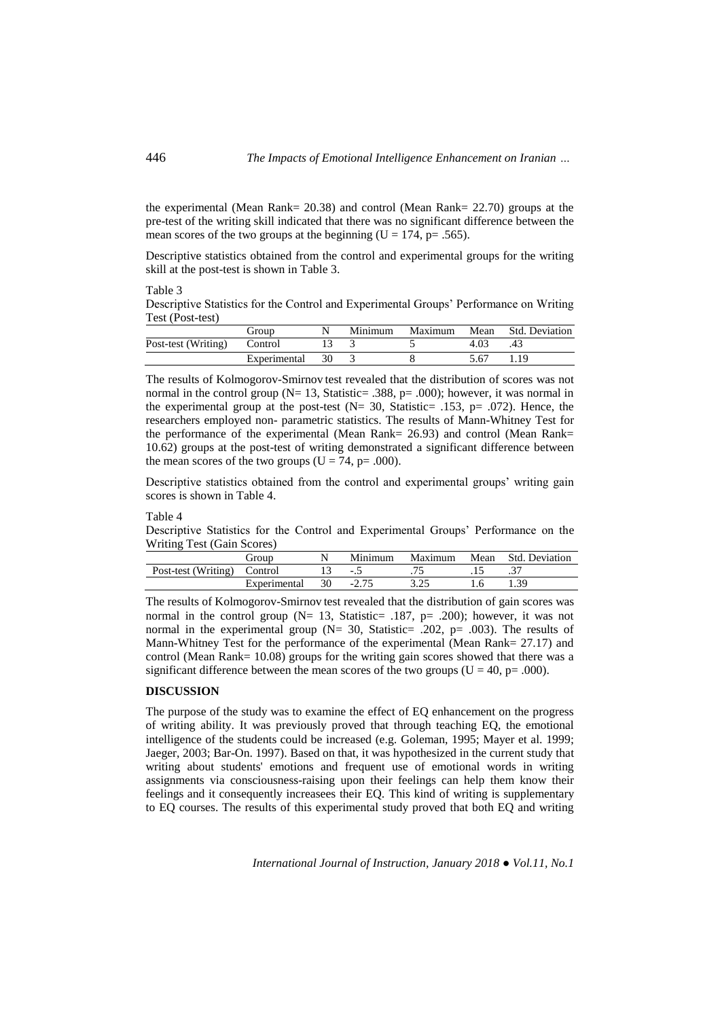the experimental (Mean Rank= 20.38) and control (Mean Rank= 22.70) groups at the pre-test of the writing skill indicated that there was no significant difference between the mean scores of the two groups at the beginning ( $U = 174$ , p= .565).

Descriptive statistics obtained from the control and experimental groups for the writing skill at the post-test is shown in Table 3.

#### Table 3

Descriptive Statistics for the Control and Experimental Groups' Performance on Writing Test (Post-test)

|                     | Group           | Minimum | Maximum |      | Mean Std. Deviation |
|---------------------|-----------------|---------|---------|------|---------------------|
| Post-test (Writing) | Control         |         |         | 4.03 | -43                 |
|                     | Experimental 30 |         |         | 5.67 | 119                 |

The results of Kolmogorov-Smirnov test revealed that the distribution of scores was not normal in the control group  $(N= 13, Statistic=.388, p=.000)$ ; however, it was normal in the experimental group at the post-test  $(N= 30, 51)$  Statistic= .153, p= .072). Hence, the researchers employed non- parametric statistics. The results of Mann-Whitney Test for the performance of the experimental (Mean Rank= 26.93) and control (Mean Rank= 10.62) groups at the post-test of writing demonstrated a significant difference between the mean scores of the two groups ( $U = 74$ , p= .000).

Descriptive statistics obtained from the control and experimental groups' writing gain scores is shown in Table 4.

#### Table 4

Descriptive Statistics for the Control and Experimental Groups' Performance on the Writing Test (Gain Scores)

|                             | eroup        |    | Minimum | Maximum | Mean Std. Deviation |
|-----------------------------|--------------|----|---------|---------|---------------------|
| Post-test (Writing) Control |              |    |         |         |                     |
|                             | Experimental | 30 | $-2.75$ | 3.25    | -39                 |

The results of Kolmogorov-Smirnov test revealed that the distribution of gain scores was normal in the control group (N= 13, Statistic= .187, p= .200); however, it was not normal in the experimental group ( $N = 30$ , Statistic= .202, p= .003). The results of Mann-Whitney Test for the performance of the experimental (Mean Rank= 27.17) and control (Mean Rank= 10.08) groups for the writing gain scores showed that there was a significant difference between the mean scores of the two groups ( $U = 40$ ,  $p = .000$ ).

# **DISCUSSION**

The purpose of the study was to examine the effect of EQ enhancement on the progress of writing ability. It was previously proved that through teaching EQ, the emotional intelligence of the students could be increased (e.g. Goleman, 1995; Mayer et al. 1999; Jaeger, 2003; Bar-On. 1997). Based on that, it was hypothesized in the current study that writing about students' emotions and frequent use of emotional words in writing assignments via consciousness-raising upon their feelings can help them know their feelings and it consequently increasees their EQ. This kind of writing is supplementary to EQ courses. The results of this experimental study proved that both EQ and writing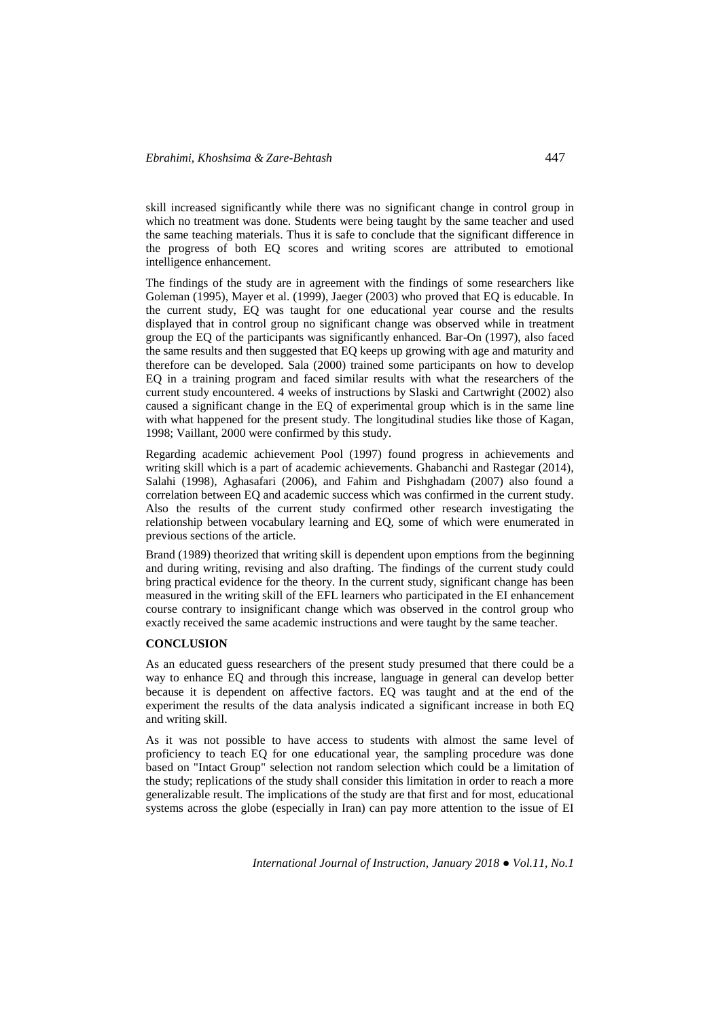skill increased significantly while there was no significant change in control group in which no treatment was done. Students were being taught by the same teacher and used the same teaching materials. Thus it is safe to conclude that the significant difference in the progress of both EQ scores and writing scores are attributed to emotional intelligence enhancement.

The findings of the study are in agreement with the findings of some researchers like Goleman (1995), Mayer et al. (1999), Jaeger (2003) who proved that EQ is educable. In the current study, EQ was taught for one educational year course and the results displayed that in control group no significant change was observed while in treatment group the EQ of the participants was significantly enhanced. Bar-On (1997), also faced the same results and then suggested that EQ keeps up growing with age and maturity and therefore can be developed. Sala (2000) trained some participants on how to develop EQ in a training program and faced similar results with what the researchers of the current study encountered. 4 weeks of instructions by Slaski and Cartwright (2002) also caused a significant change in the EQ of experimental group which is in the same line with what happened for the present study. The longitudinal studies like those of Kagan, 1998; Vaillant, 2000 were confirmed by this study.

Regarding academic achievement Pool (1997) found progress in achievements and writing skill which is a part of academic achievements. Ghabanchi and Rastegar (2014), Salahi (1998), Aghasafari (2006), and Fahim and Pishghadam (2007) also found a correlation between EQ and academic success which was confirmed in the current study. Also the results of the current study confirmed other research investigating the relationship between vocabulary learning and EQ, some of which were enumerated in previous sections of the article.

Brand (1989) theorized that writing skill is dependent upon emptions from the beginning and during writing, revising and also drafting. The findings of the current study could bring practical evidence for the theory. In the current study, significant change has been measured in the writing skill of the EFL learners who participated in the EI enhancement course contrary to insignificant change which was observed in the control group who exactly received the same academic instructions and were taught by the same teacher.

# **CONCLUSION**

As an educated guess researchers of the present study presumed that there could be a way to enhance EQ and through this increase, language in general can develop better because it is dependent on affective factors. EQ was taught and at the end of the experiment the results of the data analysis indicated a significant increase in both EQ and writing skill.

As it was not possible to have access to students with almost the same level of proficiency to teach EQ for one educational year, the sampling procedure was done based on "Intact Group" selection not random selection which could be a limitation of the study; replications of the study shall consider this limitation in order to reach a more generalizable result. The implications of the study are that first and for most, educational systems across the globe (especially in Iran) can pay more attention to the issue of EI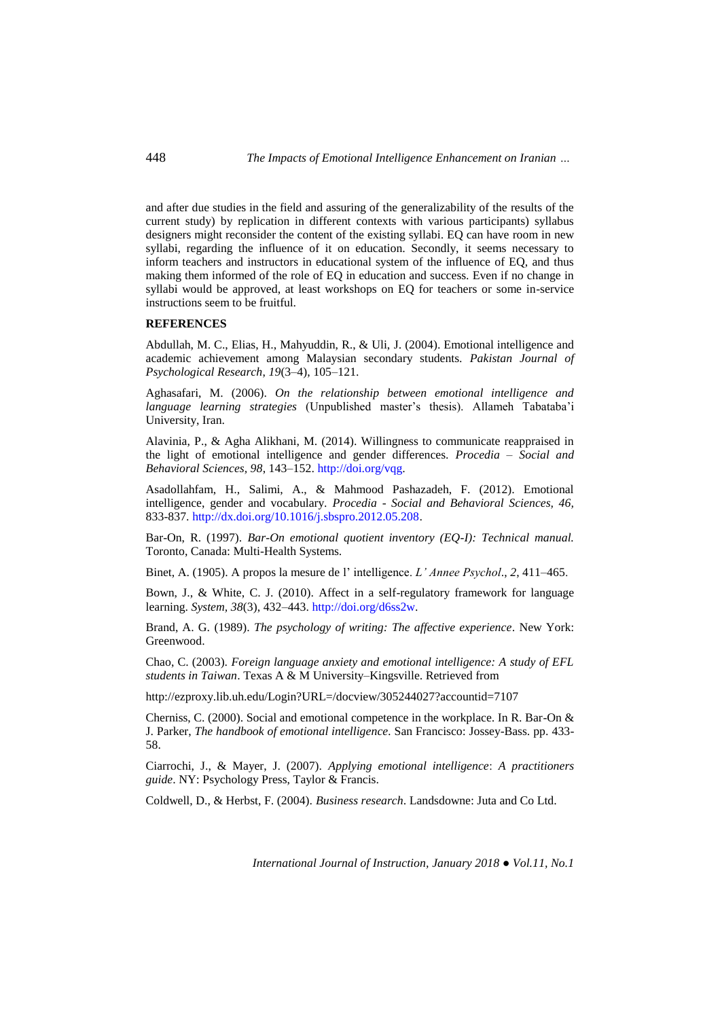and after due studies in the field and assuring of the generalizability of the results of the current study) by replication in different contexts with various participants) syllabus designers might reconsider the content of the existing syllabi. EQ can have room in new syllabi, regarding the influence of it on education. Secondly, it seems necessary to inform teachers and instructors in educational system of the influence of EQ, and thus making them informed of the role of EQ in education and success. Even if no change in syllabi would be approved, at least workshops on EQ for teachers or some in-service instructions seem to be fruitful.

## **REFERENCES**

Abdullah, M. C., Elias, H., Mahyuddin, R., & Uli, J. (2004). Emotional intelligence and academic achievement among Malaysian secondary students. *Pakistan Journal of Psychological Research*, *19*(3–4), 105–121.

Aghasafari, M. (2006). *On the relationship between emotional intelligence and language learning strategies* (Unpublished master's thesis). Allameh Tabataba'i University, Iran.

Alavinia, P., & Agha Alikhani, M. (2014). Willingness to communicate reappraised in the light of emotional intelligence and gender differences. *Procedia – Social and Behavioral Sciences, 98*, 143–152. [http://doi.org/vqg.](http://doi.org/vqg)

Asadollahfam, H., Salimi, A., & Mahmood Pashazadeh, F. (2012). Emotional intelligence, gender and vocabulary. *Procedia - Social and Behavioral Sciences, 46,*  833-837. [http://dx.doi.org/10.1016/j.sbspro.2012.05.208.](http://dx.doi.org/10.1016/j.sbspro.2012.05.208)

Bar-On, R. (1997). *Bar-On emotional quotient inventory (EQ-I): Technical manual.*  Toronto, Canada: Multi-Health Systems.

Binet, A. (1905). A propos la mesure de l' intelligence. *L' Annee Psychol*., *2*, 411–465.

Bown, J., & White, C. J. (2010). Affect in a self-regulatory framework for language learning. *System, 38*(3), 432–443. [http://doi.org/d6ss2w.](http://doi.org/d6ss2w)

Brand, A. G. (1989). *The psychology of writing: The affective experience*. New York: Greenwood.

Chao, C. (2003). *Foreign language anxiety and emotional intelligence: A study of EFL students in Taiwan*. Texas A & M University–Kingsville. Retrieved from

http://ezproxy.lib.uh.edu/Login?URL=/docview/305244027?accountid=7107

Cherniss, C. (2000). Social and emotional competence in the workplace. In R. Bar-On & J. Parker, *The handbook of emotional intelligence.* San Francisco: Jossey-Bass. pp. 433- 58.

Ciarrochi, J., & Mayer, J. (2007). *Applying emotional intelligence*: *A practitioners guide*. NY: Psychology Press, Taylor & Francis.

Coldwell, D., & Herbst, F. (2004). *Business research*. Landsdowne: Juta and Co Ltd.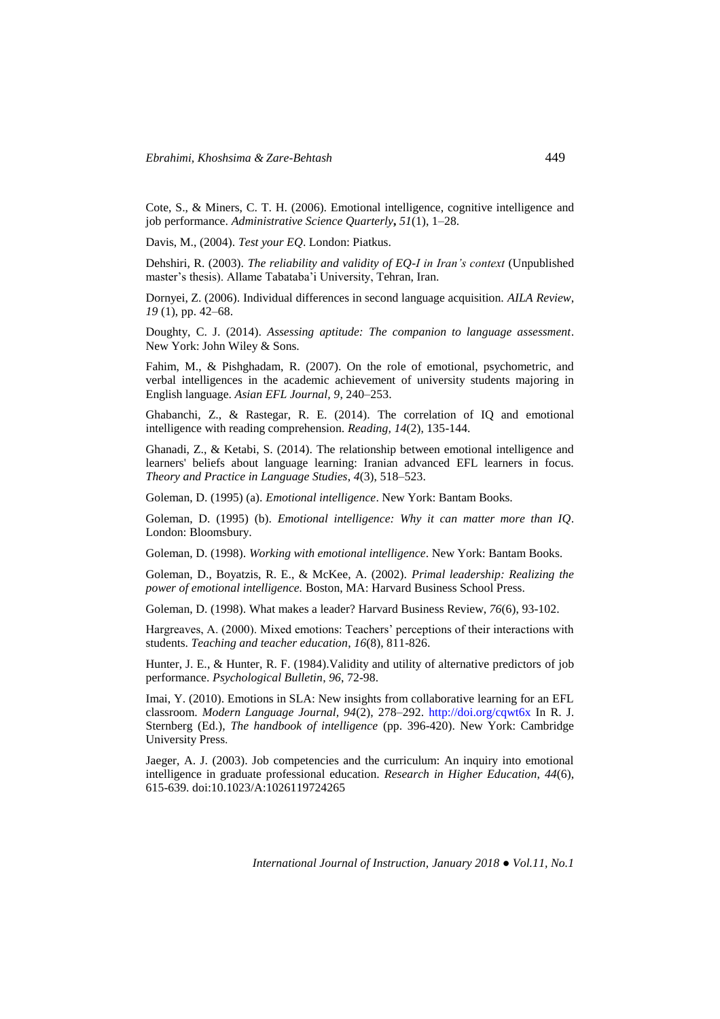Cote, S., & Miners, C. T. H. (2006). Emotional intelligence, cognitive intelligence and job performance. *Administrative Science Quarterly***,** *51*(1), 1–28.

Davis, M., (2004). *Test your EQ*. London: Piatkus.

Dehshiri, R. (2003). *The reliability and validity of EQ-I in Iran's context* (Unpublished master's thesis). Allame Tabataba'i University, Tehran, Iran.

Dornyei, Z. (2006). Individual differences in second language acquisition. *AILA Review*, *19* (1), pp. 42–68.

Doughty, C. J. (2014). *Assessing aptitude: The companion to language assessment*. New York: John Wiley & Sons.

Fahim, M., & Pishghadam, R. (2007). On the role of emotional, psychometric, and verbal intelligences in the academic achievement of university students majoring in English language. *Asian EFL Journal, 9*, 240–253.

Ghabanchi, Z., & Rastegar, R. E. (2014). The correlation of IQ and emotional intelligence with reading comprehension. *Reading, 14*(2), 135-144.

Ghanadi, Z., & Ketabi, S. (2014). The relationship between emotional intelligence and learners' beliefs about language learning: Iranian advanced EFL learners in focus. *Theory and Practice in Language Studies*, *4*(3), 518–523.

Goleman, D. (1995) (a). *Emotional intelligence*. New York: Bantam Books.

Goleman, D. (1995) (b). *Emotional intelligence: Why it can matter more than IQ*. London: Bloomsbury.

Goleman, D. (1998). *Working with emotional intelligence*. New York: Bantam Books.

Goleman, D., Boyatzis, R. E., & McKee, A. (2002). *Primal leadership: Realizing the power of emotional intelligence.* Boston, MA: Harvard Business School Press.

Goleman, D. (1998). What makes a leader? Harvard Business Review, *76*(6), 93-102.

Hargreaves, A. (2000). Mixed emotions: Teachers' perceptions of their interactions with students. *Teaching and teacher education*, *16*(8), 811-826.

Hunter, J. E., & Hunter, R. F. (1984).Validity and utility of alternative predictors of job performance. *Psychological Bulletin*, *96*, 72-98.

Imai, Y. (2010). Emotions in SLA: New insights from collaborative learning for an EFL classroom. *Modern Language Journal, 94*(2), 278–292.<http://doi.org/cqwt6x> In R. J. Sternberg (Ed.), *The handbook of intelligence* (pp. 396-420). New York: Cambridge University Press.

Jaeger, A. J. (2003). Job competencies and the curriculum: An inquiry into emotional intelligence in graduate professional education. *Research in Higher Education*, *44*(6), 615-639. doi:10.1023/A:1026119724265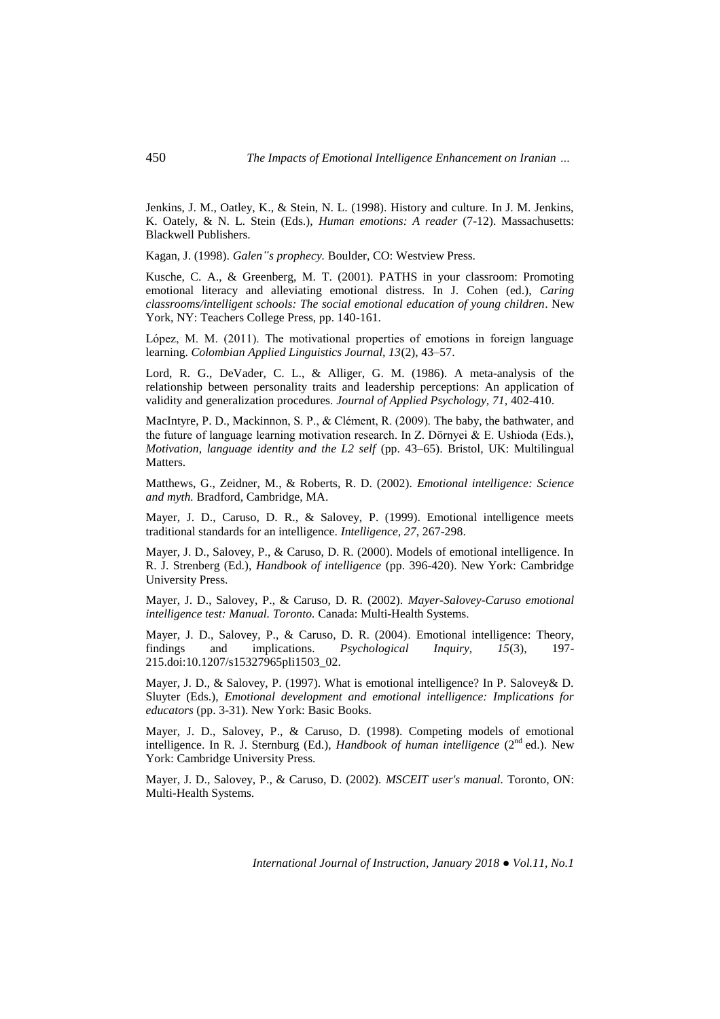Jenkins, J. M., Oatley, K., & Stein, N. L. (1998). History and culture. In J. M. Jenkins, K. Oately, & N. L. Stein (Eds.), *Human emotions: A reader* (7-12). Massachusetts: Blackwell Publishers.

Kagan, J. (1998). *Galen"s prophecy.* Boulder, CO: Westview Press.

Kusche, C. A., & Greenberg, M. T. (2001). PATHS in your classroom: Promoting emotional literacy and alleviating emotional distress. In J. Cohen (ed.), *Caring classrooms/intelligent schools: The social emotional education of young children*. New York, NY: Teachers College Press, pp. 140-161.

López, M. M. (2011). The motivational properties of emotions in foreign language learning. *Colombian Applied Linguistics Journal, 13*(2), 43–57.

Lord, R. G., DeVader, C. L., & Alliger, G. M. (1986). A meta-analysis of the relationship between personality traits and leadership perceptions: An application of validity and generalization procedures. *Journal of Applied Psychology, 71,* 402-410.

MacIntyre, P. D., Mackinnon, S. P., & Clément, R. (2009). The baby, the bathwater, and the future of language learning motivation research. In Z. Dörnyei & E. Ushioda (Eds.), *Motivation, language identity and the L2 self* (pp. 43–65). Bristol, UK: Multilingual Matters.

Matthews, G., Zeidner, M., & Roberts, R. D. (2002). *Emotional intelligence: Science and myth.* Bradford, Cambridge, MA.

Mayer, J. D., Caruso, D. R., & Salovey, P. (1999). Emotional intelligence meets traditional standards for an intelligence. *Intelligence, 27*, 267-298.

Mayer, J. D., Salovey, P., & Caruso, D. R. (2000). Models of emotional intelligence. In R. J. Strenberg (Ed.), *Handbook of intelligence* (pp. 396-420). New York: Cambridge University Press.

Mayer, J. D., Salovey, P., & Caruso, D. R. (2002). *Mayer-Salovey-Caruso emotional intelligence test: Manual. Toronto.* Canada: Multi-Health Systems.

Mayer, J. D., Salovey, P., & Caruso, D. R. (2004). Emotional intelligence: Theory, findings and implications. *Psychological Inquiry, 15*(3), 197- 215.doi:10.1207/s15327965pli1503\_02.

Mayer, J. D., & Salovey, P. (1997). What is emotional intelligence? In P. Salovey& D. Sluyter (Eds.), *Emotional development and emotional intelligence: Implications for educators* (pp. 3-31). New York: Basic Books.

Mayer, J. D., Salovey, P., & Caruso, D. (1998). Competing models of emotional intelligence. In R. J. Sternburg (Ed.), *Handbook of human intelligence*  $(2<sup>nd</sup>$  ed.). New York: Cambridge University Press.

Mayer, J. D., Salovey, P., & Caruso, D. (2002). *MSCEIT user's manual.* Toronto, ON: Multi-Health Systems.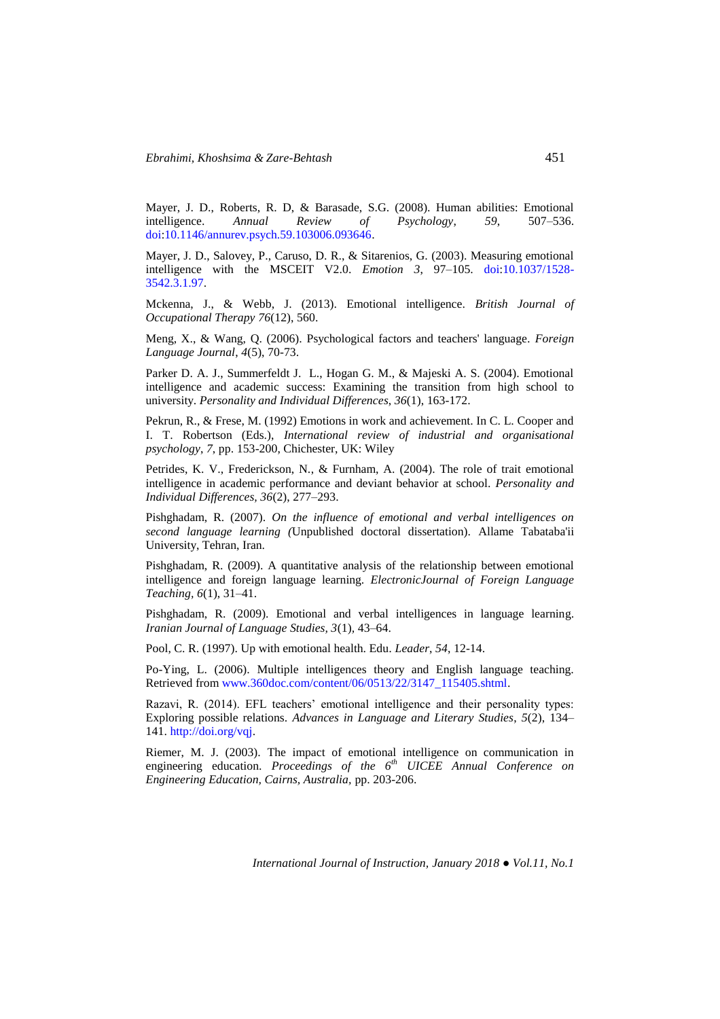Mayer, J. D., Roberts, R. D, & Barasade, S.G. (2008). Human abilities: Emotional intelligence. *Annual Review of Psychology*, *59*, 507–536. [doi:](https://en.wikipedia.org/wiki/Digital_object_identifier)[10.1146/annurev.psych.59.103006.093646.](https://dx.doi.org/10.1146%2Fannurev.psych.59.103006.093646)

Mayer, J. D., Salovey, P., Caruso, D. R., & Sitarenios, G. (2003). Measuring emotional intelligence with the MSCEIT V2.0. *Emotion 3*, 97–105. [doi](https://en.wikipedia.org/wiki/Digital_object_identifier)[:10.1037/1528-](https://dx.doi.org/10.1037%2F1528-3542.3.1.97) [3542.3.1.97.](https://dx.doi.org/10.1037%2F1528-3542.3.1.97)

Mckenna, J., & Webb, J. (2013). Emotional intelligence. *British Journal of Occupational Therapy 76*(12), 560.

Meng, X., & Wang, Q. (2006). Psychological factors and teachers' language*. Foreign Language Journal*, *4*(5), 70-73.

Parker D. A. J., Summerfeldt J. L., Hogan G. M., & Majeski A. S. (2004). Emotional intelligence and academic success: Examining the transition from high school to university. *[Personality and Individual Differences](http://www.sciencedirect.com/science/journal/01918869)*, *36*[\(1\)](http://www.sciencedirect.com/science/journal/01918869/36/1), 163-172.

Pekrun, R., & Frese, M. (1992) Emotions in work and achievement. In C. L. Cooper and I. T. Robertson (Eds.), *International review of industrial and organisational psychology*, *7*, pp. 153-200, Chichester, UK: Wiley

Petrides, K. V., Frederickson, N., & Furnham, A. (2004). The role of trait emotional intelligence in academic performance and deviant behavior at school. *Personality and Individual Differences, 36*(2), 277–293.

Pishghadam, R. (2007). *On the influence of emotional and verbal intelligences on second language learning (*Unpublished doctoral dissertation). Allame Tabataba'ii University, Tehran, Iran.

Pishghadam, R. (2009). A quantitative analysis of the relationship between emotional intelligence and foreign language learning. *ElectronicJournal of Foreign Language Teaching, 6*(1), 31–41.

Pishghadam, R. (2009). Emotional and verbal intelligences in language learning. *Iranian Journal of Language Studies, 3*(1)*,* 43–64.

Pool, C. R. (1997). Up with emotional health. Edu*. Leader*, *54*, 12-14.

Po-Ying, L. (2006). Multiple intelligences theory and English language teaching. Retrieved fro[m www.360doc.com/content/06/0513/22/3147\\_115405.shtml.](http://www.360doc.com/content/06/0513/22/3147_115405.shtml)

Razavi, R. (2014). EFL teachers' emotional intelligence and their personality types: Exploring possible relations. *Advances in Language and Literary Studies*, *5*(2), 134– 141[. http://doi.org/vqj.](http://doi.org/vqj)

Riemer, M. J. (2003). The impact of emotional intelligence on communication in engineering education. *Proceedings of the 6th UICEE Annual Conference on Engineering Education, Cairns, Australia,* pp. 203-206.